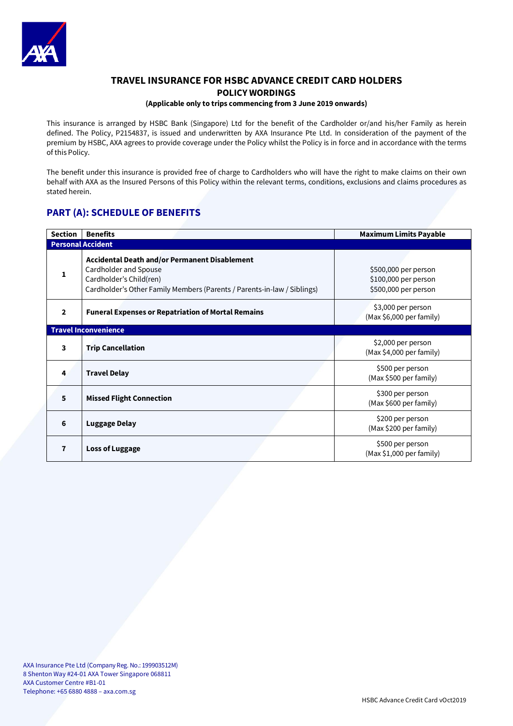

# **TRAVEL INSURANCE FOR HSBC ADVANCE CREDIT CARD HOLDERS POLICY WORDINGS**

# **(Applicable only to trips commencing from 3 June 2019 onwards)**

This insurance is arranged by HSBC Bank (Singapore) Ltd for the benefit of the Cardholder or/and his/her Family as herein defined. The Policy, P2154837, is issued and underwritten by AXA Insurance Pte Ltd. In consideration of the payment of the premium by HSBC, AXA agrees to provide coverage under the Policy whilst the Policy is in force and in accordance with the terms of this Policy.

The benefit under this insurance is provided free of charge to Cardholders who will have the right to make claims on their own behalf with AXA as the Insured Persons of this Policy within the relevant terms, conditions, exclusions and claims procedures as stated herein.

# **PART (A): SCHEDULE OF BENEFITS**

| <b>Section</b>              | <b>Benefits</b>                                                                                                                                                                     | <b>Maximum Limits Payable</b>                                        |  |  |
|-----------------------------|-------------------------------------------------------------------------------------------------------------------------------------------------------------------------------------|----------------------------------------------------------------------|--|--|
| <b>Personal Accident</b>    |                                                                                                                                                                                     |                                                                      |  |  |
| 1                           | <b>Accidental Death and/or Permanent Disablement</b><br>Cardholder and Spouse<br>Cardholder's Child(ren)<br>Cardholder's Other Family Members (Parents / Parents-in-law / Siblings) | \$500,000 per person<br>\$100,000 per person<br>\$500,000 per person |  |  |
| $\overline{2}$              | <b>Funeral Expenses or Repatriation of Mortal Remains</b>                                                                                                                           | \$3,000 per person<br>(Max \$6,000 per family)                       |  |  |
| <b>Travel Inconvenience</b> |                                                                                                                                                                                     |                                                                      |  |  |
| 3                           | <b>Trip Cancellation</b>                                                                                                                                                            | \$2,000 per person<br>(Max \$4,000 per family)                       |  |  |
| 4                           | <b>Travel Delay</b>                                                                                                                                                                 | \$500 per person<br>(Max \$500 per family)                           |  |  |
| 5                           | <b>Missed Flight Connection</b>                                                                                                                                                     | \$300 per person<br>(Max \$600 per family)                           |  |  |
| 6                           | <b>Luggage Delay</b>                                                                                                                                                                | \$200 per person<br>(Max \$200 per family)                           |  |  |
| $\overline{7}$              | <b>Loss of Luggage</b>                                                                                                                                                              | \$500 per person<br>(Max \$1,000 per family)                         |  |  |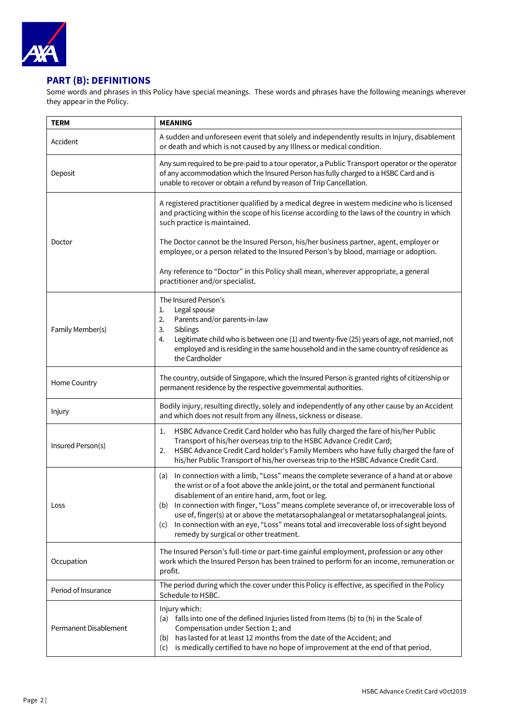

# **PART (B): DEFINITIONS**

Some words and phrases in this Policy have special meanings. These words and phrases have the following meanings wherever they appear in the Policy.

| <b>TERM</b>           | <b>MEANING</b>                                                                                                                                                                                                                                                                                                                                                                                                                                                                                                                                                         |
|-----------------------|------------------------------------------------------------------------------------------------------------------------------------------------------------------------------------------------------------------------------------------------------------------------------------------------------------------------------------------------------------------------------------------------------------------------------------------------------------------------------------------------------------------------------------------------------------------------|
| Accident              | A sudden and unforeseen event that solely and independently results in Injury, disablement<br>or death and which is not caused by any Illness or medical condition.                                                                                                                                                                                                                                                                                                                                                                                                    |
| Deposit               | Any sum required to be pre-paid to a tour operator, a Public Transport operator or the operator<br>of any accommodation which the Insured Person has fully charged to a HSBC Card and is<br>unable to recover or obtain a refund by reason of Trip Cancellation.                                                                                                                                                                                                                                                                                                       |
|                       | A registered practitioner qualified by a medical degree in western medicine who is licensed<br>and practicing within the scope of his license according to the laws of the country in which<br>such practice is maintained.                                                                                                                                                                                                                                                                                                                                            |
| Doctor                | The Doctor cannot be the Insured Person, his/her business partner, agent, employer or<br>employee, or a person related to the Insured Person's by blood, marriage or adoption.                                                                                                                                                                                                                                                                                                                                                                                         |
|                       | Any reference to "Doctor" in this Policy shall mean, wherever appropriate, a general<br>practitioner and/or specialist.                                                                                                                                                                                                                                                                                                                                                                                                                                                |
| Family Member(s)      | The Insured Person's<br>Legal spouse<br>1.<br>2.<br>Parents and/or parents-in-law<br>3.<br>Siblings                                                                                                                                                                                                                                                                                                                                                                                                                                                                    |
|                       | Legitimate child who is between one (1) and twenty-five (25) years of age, not married, not<br>4.<br>employed and is residing in the same household and in the same country of residence as<br>the Cardholder                                                                                                                                                                                                                                                                                                                                                          |
| Home Country          | The country, outside of Singapore, which the Insured Person is granted rights of citizenship or<br>permanent residence by the respective governmental authorities.                                                                                                                                                                                                                                                                                                                                                                                                     |
| Injury                | Bodily injury, resulting directly, solely and independently of any other cause by an Accident<br>and which does not result from any illness, sickness or disease.                                                                                                                                                                                                                                                                                                                                                                                                      |
| Insured Person(s)     | HSBC Advance Credit Card holder who has fully charged the fare of his/her Public<br>1.<br>Transport of his/her overseas trip to the HSBC Advance Credit Card;<br>HSBC Advance Credit Card holder's Family Members who have fully charged the fare of<br>2.<br>his/her Public Transport of his/her overseas trip to the HSBC Advance Credit Card.                                                                                                                                                                                                                       |
| Loss                  | In connection with a limb, "Loss" means the complete severance of a hand at or above<br>(a)<br>the wrist or of a foot above the ankle joint, or the total and permanent functional<br>disablement of an entire hand, arm, foot or leg.<br>(b) In connection with finger, "Loss" means complete severance of, or irrecoverable loss of<br>use of, finger(s) at or above the metatarsophalangeal or metatarsophalangeal joints.<br>In connection with an eye, "Loss" means total and irrecoverable loss of sight beyond<br>(C)<br>remedy by surgical or other treatment. |
| Occupation            | The Insured Person's full-time or part-time gainful employment, profession or any other<br>work which the Insured Person has been trained to perform for an income, remuneration or<br>profit.                                                                                                                                                                                                                                                                                                                                                                         |
| Period of Insurance   | The period during which the cover under this Policy is effective, as specified in the Policy<br>Schedule to HSBC.                                                                                                                                                                                                                                                                                                                                                                                                                                                      |
| Permanent Disablement | Injury which:<br>(a) falls into one of the defined Injuries listed from Items (b) to (h) in the Scale of<br>Compensation under Section 1; and<br>has lasted for at least 12 months from the date of the Accident; and<br>(b)<br>is medically certified to have no hope of improvement at the end of that period.<br>(c)                                                                                                                                                                                                                                                |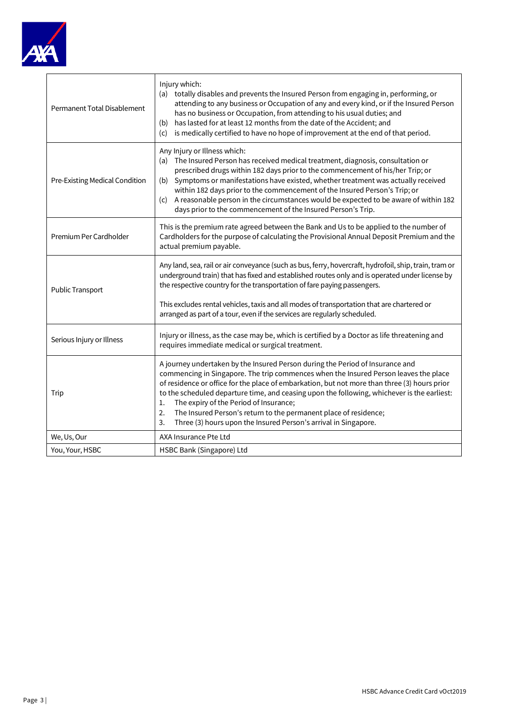

| Permanent Total Disablement    | Injury which:<br>(a) totally disables and prevents the Insured Person from engaging in, performing, or<br>attending to any business or Occupation of any and every kind, or if the Insured Person<br>has no business or Occupation, from attending to his usual duties; and<br>has lasted for at least 12 months from the date of the Accident; and<br>(b)<br>is medically certified to have no hope of improvement at the end of that period.<br>(c)                                                                                                                   |  |  |
|--------------------------------|-------------------------------------------------------------------------------------------------------------------------------------------------------------------------------------------------------------------------------------------------------------------------------------------------------------------------------------------------------------------------------------------------------------------------------------------------------------------------------------------------------------------------------------------------------------------------|--|--|
| Pre-Existing Medical Condition | Any Injury or Illness which:<br>(a) The Insured Person has received medical treatment, diagnosis, consultation or<br>prescribed drugs within 182 days prior to the commencement of his/her Trip; or<br>Symptoms or manifestations have existed, whether treatment was actually received<br>(b)<br>within 182 days prior to the commencement of the Insured Person's Trip; or<br>(c) A reasonable person in the circumstances would be expected to be aware of within 182<br>days prior to the commencement of the Insured Person's Trip.                                |  |  |
| Premium Per Cardholder         | This is the premium rate agreed between the Bank and Us to be applied to the number of<br>Cardholders for the purpose of calculating the Provisional Annual Deposit Premium and the<br>actual premium payable.                                                                                                                                                                                                                                                                                                                                                          |  |  |
| Public Transport               | Any land, sea, rail or air conveyance (such as bus, ferry, hovercraft, hydrofoil, ship, train, tram or<br>underground train) that has fixed and established routes only and is operated under license by<br>the respective country for the transportation of fare paying passengers.                                                                                                                                                                                                                                                                                    |  |  |
|                                | This excludes rental vehicles, taxis and all modes of transportation that are chartered or<br>arranged as part of a tour, even if the services are regularly scheduled.                                                                                                                                                                                                                                                                                                                                                                                                 |  |  |
| Serious Injury or Illness      | Injury or illness, as the case may be, which is certified by a Doctor as life threatening and<br>requires immediate medical or surgical treatment.                                                                                                                                                                                                                                                                                                                                                                                                                      |  |  |
| Trip                           | A journey undertaken by the Insured Person during the Period of Insurance and<br>commencing in Singapore. The trip commences when the Insured Person leaves the place<br>of residence or office for the place of embarkation, but not more than three (3) hours prior<br>to the scheduled departure time, and ceasing upon the following, whichever is the earliest:<br>The expiry of the Period of Insurance;<br>1.<br>The Insured Person's return to the permanent place of residence;<br>2.<br>3.<br>Three (3) hours upon the Insured Person's arrival in Singapore. |  |  |
| We, Us, Our                    | AXA Insurance Pte Ltd                                                                                                                                                                                                                                                                                                                                                                                                                                                                                                                                                   |  |  |
| You, Your, HSBC                | HSBC Bank (Singapore) Ltd                                                                                                                                                                                                                                                                                                                                                                                                                                                                                                                                               |  |  |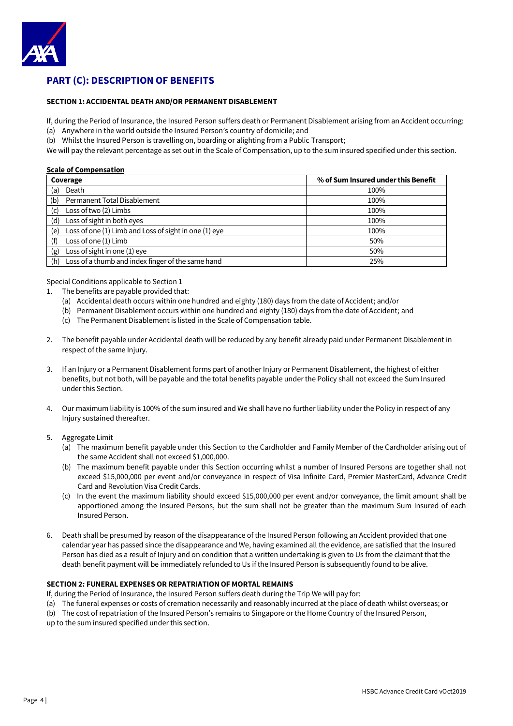

# **PART (C): DESCRIPTION OF BENEFITS**

### **SECTION 1: ACCIDENTAL DEATH AND/OR PERMANENT DISABLEMENT**

If, during the Period of Insurance, the Insured Person suffers death or Permanent Disablement arising from an Accident occurring: (a) Anywhere in the world outside the Insured Person's country of domicile; and

(b) Whilst the Insured Person is travelling on, boarding or alighting from a Public Transport;

We will pay the relevant percentage as set out in the Scale of Compensation, up to the sum insured specified under this section.

# **Scale of Compensation**

| Coverage                                                     | % of Sum Insured under this Benefit |
|--------------------------------------------------------------|-------------------------------------|
| Death<br>(a)                                                 | 100%                                |
| Permanent Total Disablement<br>(b)                           | 100%                                |
| Loss of two (2) Limbs<br>(c)                                 | 100%                                |
| Loss of sight in both eyes<br>(d)                            | 100%                                |
| Loss of one (1) Limb and Loss of sight in one (1) eye<br>(e) | 100%                                |
| Loss of one (1) Limb<br>(f)                                  | 50%                                 |
| Loss of sight in one (1) eye<br>(g)                          | 50%                                 |
| Loss of a thumb and index finger of the same hand<br>(h)     | 25%                                 |

Special Conditions applicable to Section 1

- 1. The benefits are payable provided that:
	- (a) Accidental death occurs within one hundred and eighty (180) days from the date of Accident; and/or
	- (b) Permanent Disablement occurs within one hundred and eighty (180) days from the date of Accident; and
	- (c) The Permanent Disablement is listed in the Scale of Compensation table.
- 2. The benefit payable under Accidental death will be reduced by any benefit already paid under Permanent Disablement in respect of the same Injury.
- 3. If an Injury or a Permanent Disablement forms part of another Injury or Permanent Disablement, the highest of either benefits, but not both, will be payable and the total benefits payable under the Policy shall not exceed the Sum Insured under this Section.
- 4. Our maximum liability is 100% of the sum insured and We shall have no further liability under the Policy in respect of any Injury sustained thereafter.
- 5. Aggregate Limit
	- (a) The maximum benefit payable under this Section to the Cardholder and Family Member of the Cardholder arising out of the same Accident shall not exceed \$1,000,000.
	- (b) The maximum benefit payable under this Section occurring whilst a number of Insured Persons are together shall not exceed \$15,000,000 per event and/or conveyance in respect of Visa Infinite Card, Premier MasterCard, Advance Credit Card and Revolution Visa Credit Cards.
	- (c) In the event the maximum liability should exceed \$15,000,000 per event and/or conveyance, the limit amount shall be apportioned among the Insured Persons, but the sum shall not be greater than the maximum Sum Insured of each Insured Person.
- 6. Death shall be presumed by reason of the disappearance of the Insured Person following an Accident provided that one calendar year has passed since the disappearance and We, having examined all the evidence, are satisfied that the Insured Person has died as a result of Injury and on condition that a written undertaking is given to Us from the claimant that the death benefit payment will be immediately refunded to Us if the Insured Person is subsequently found to be alive.

# **SECTION 2: FUNERAL EXPENSES OR REPATRIATION OF MORTAL REMAINS**

If, during the Period of Insurance, the Insured Person suffers death during the Trip We will pay for:

(a) The funeral expenses or costs of cremation necessarily and reasonably incurred at the place of death whilst overseas; or

(b) The cost of repatriation of the Insured Person's remains to Singapore or the Home Country of the Insured Person,

up to the sum insured specified under this section.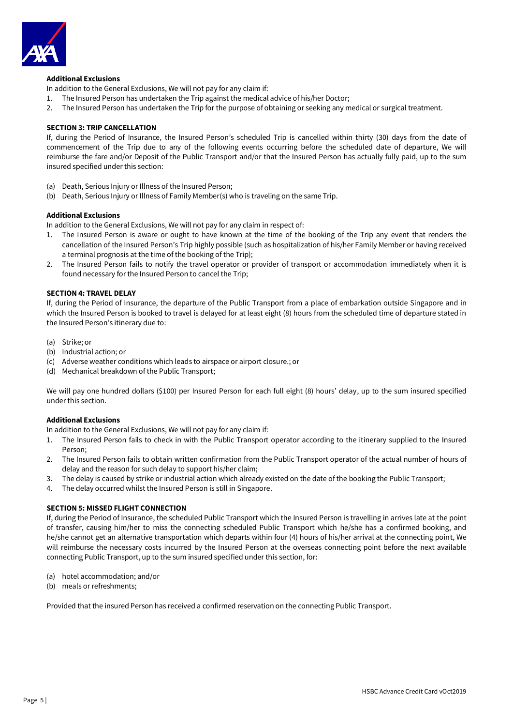

# **Additional Exclusions**

In addition to the General Exclusions, We will not pay for any claim if:

- 1. The Insured Person has undertaken the Trip against the medical advice of his/her Doctor;
- 2. The Insured Person has undertaken the Trip for the purpose of obtaining or seeking any medical or surgical treatment.

# **SECTION 3: TRIP CANCELLATION**

If, during the Period of Insurance, the Insured Person's scheduled Trip is cancelled within thirty (30) days from the date of commencement of the Trip due to any of the following events occurring before the scheduled date of departure, We will reimburse the fare and/or Deposit of the Public Transport and/or that the Insured Person has actually fully paid, up to the sum insured specified under this section:

- (a) Death, Serious Injury or Illness of the Insured Person;
- (b) Death, Serious Injury or Illness of Family Member(s) who is traveling on the same Trip.

### **Additional Exclusions**

In addition to the General Exclusions, We will not pay for any claim in respect of:

- 1. The Insured Person is aware or ought to have known at the time of the booking of the Trip any event that renders the cancellation of the Insured Person's Trip highly possible (such as hospitalization of his/her Family Member or having received a terminal prognosis at the time of the booking of the Trip);
- 2. The Insured Person fails to notify the travel operator or provider of transport or accommodation immediately when it is found necessary for the Insured Person to cancel the Trip;

### **SECTION 4: TRAVEL DELAY**

If, during the Period of Insurance, the departure of the Public Transport from a place of embarkation outside Singapore and in which the Insured Person is booked to travel is delayed for at least eight (8) hours from the scheduled time of departure stated in the Insured Person's itinerary due to:

- (a) Strike; or
- (b) Industrial action; or
- (c) Adverse weather conditions which leads to airspace or airport closure.; or
- (d) Mechanical breakdown of the Public Transport;

We will pay one hundred dollars (\$100) per Insured Person for each full eight (8) hours' delay, up to the sum insured specified under this section.

#### **Additional Exclusions**

In addition to the General Exclusions, We will not pay for any claim if:

- 1. The Insured Person fails to check in with the Public Transport operator according to the itinerary supplied to the Insured Person;
- 2. The Insured Person fails to obtain written confirmation from the Public Transport operator of the actual number of hours of delay and the reason for such delay to support his/her claim;
- 3. The delay is caused by strike or industrial action which already existed on the date of the booking the Public Transport;
- 4. The delay occurred whilst the Insured Person is still in Singapore.

# **SECTION 5: MISSED FLIGHT CONNECTION**

If, during the Period of Insurance, the scheduled Public Transport which the Insured Person is travelling in arrives late at the point of transfer, causing him/her to miss the connecting scheduled Public Transport which he/she has a confirmed booking, and he/she cannot get an alternative transportation which departs within four (4) hours of his/her arrival at the connecting point, We will reimburse the necessary costs incurred by the Insured Person at the overseas connecting point before the next available connecting Public Transport, up to the sum insured specified under this section, for:

- (a) hotel accommodation; and/or
- (b) meals or refreshments;

Provided that the insured Person has received a confirmed reservation on the connecting Public Transport.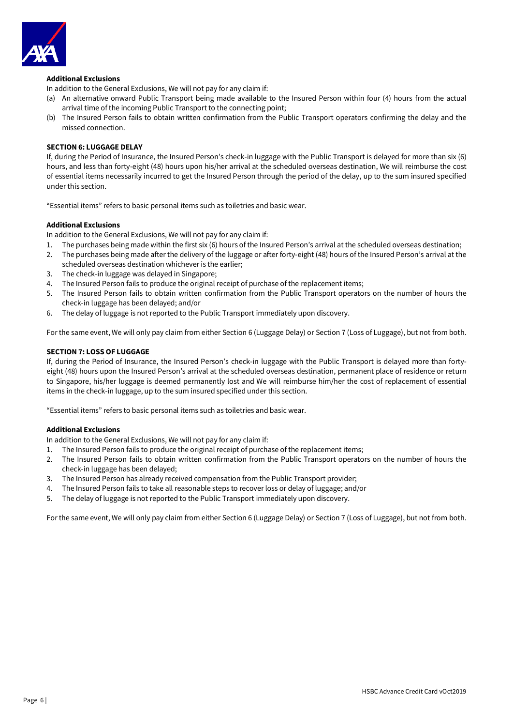

# **Additional Exclusions**

In addition to the General Exclusions, We will not pay for any claim if:

- (a) An alternative onward Public Transport being made available to the Insured Person within four (4) hours from the actual arrival time of the incoming Public Transport to the connecting point;
- (b) The Insured Person fails to obtain written confirmation from the Public Transport operators confirming the delay and the missed connection.

### **SECTION 6: LUGGAGE DELAY**

If, during the Period of Insurance, the Insured Person's check-in luggage with the Public Transport is delayed for more than six (6) hours, and less than forty-eight (48) hours upon his/her arrival at the scheduled overseas destination, We will reimburse the cost of essential items necessarily incurred to get the Insured Person through the period of the delay, up to the sum insured specified under this section.

"Essential items" refers to basic personal items such as toiletries and basic wear.

# **Additional Exclusions**

In addition to the General Exclusions, We will not pay for any claim if:

- 1. The purchases being made within the first six (6) hours of the Insured Person's arrival at the scheduled overseas destination;
- 2. The purchases being made after the delivery of the luggage or after forty-eight (48) hours of the Insured Person's arrival at the scheduled overseas destination whichever is the earlier;
- 3. The check-in luggage was delayed in Singapore;
- 4. The Insured Person fails to produce the original receipt of purchase of the replacement items;
- 5. The Insured Person fails to obtain written confirmation from the Public Transport operators on the number of hours the check-in luggage has been delayed; and/or
- 6. The delay of luggage is not reported to the Public Transport immediately upon discovery.

For the same event, We will only pay claim from either Section 6 (Luggage Delay) or Section 7 (Loss of Luggage), but not from both.

### **SECTION 7: LOSS OF LUGGAGE**

If, during the Period of Insurance, the Insured Person's check-in luggage with the Public Transport is delayed more than fortyeight (48) hours upon the Insured Person's arrival at the scheduled overseas destination, permanent place of residence or return to Singapore, his/her luggage is deemed permanently lost and We will reimburse him/her the cost of replacement of essential items in the check-in luggage, up to the sum insured specified under this section.

"Essential items" refers to basic personal items such as toiletries and basic wear.

# **Additional Exclusions**

In addition to the General Exclusions, We will not pay for any claim if:

- 1. The Insured Person fails to produce the original receipt of purchase of the replacement items;
- 2. The Insured Person fails to obtain written confirmation from the Public Transport operators on the number of hours the check-in luggage has been delayed;
- 3. The Insured Person has already received compensation from the Public Transport provider;
- 4. The Insured Person fails to take all reasonable steps to recover loss or delay of luggage; and/or
- 5. The delay of luggage is not reported to the Public Transport immediately upon discovery.

For the same event, We will only pay claim from either Section 6 (Luggage Delay) or Section 7 (Loss of Luggage), but not from both.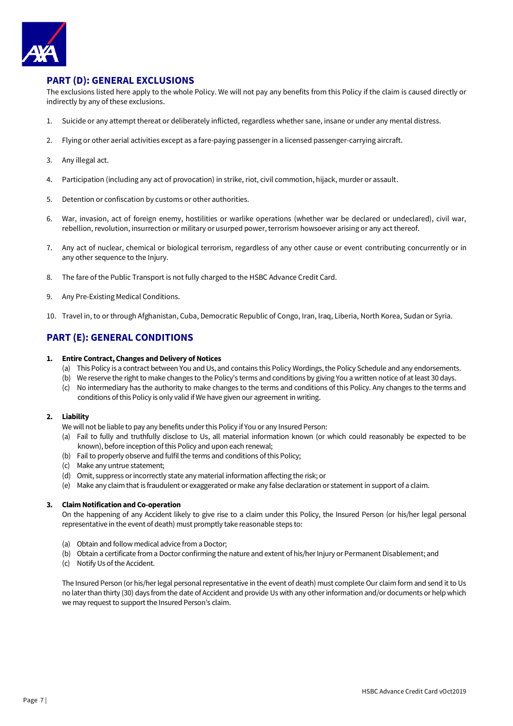

# **PART (D): GENERAL EXCLUSIONS**

The exclusions listed here apply to the whole Policy. We will not pay any benefits from this Policy if the claim is caused directly or indirectly by any of these exclusions.

- 1. Suicide or any attempt thereat or deliberately inflicted, regardless whether sane, insane or under any mental distress.
- 2. Flying or other aerial activities except as a fare-paying passenger in a licensed passenger-carrying aircraft.
- 3. Any illegal act.
- 4. Participation (including any act of provocation) in strike, riot, civil commotion, hijack, murder or assault.
- 5. Detention or confiscation by customs or other authorities.
- 6. War, invasion, act of foreign enemy, hostilities or warlike operations (whether war be declared or undeclared), civil war, rebellion, revolution, insurrection or military or usurped power, terrorism howsoever arising or any act thereof.
- 7. Any act of nuclear, chemical or biological terrorism, regardless of any other cause or event contributing concurrently or in any other sequence to the Injury.
- 8. The fare of the Public Transport is not fully charged to the HSBC Advance Credit Card.
- 9. Any Pre-Existing Medical Conditions.
- 10. Travel in, to or through Afghanistan, Cuba, Democratic Republic of Congo, Iran, Iraq, Liberia, North Korea, Sudan or Syria.

# **PART (E): GENERAL CONDITIONS**

# **1. Entire Contract, Changes and Delivery of Notices**

- (a) This Policy is a contract between You and Us, and contains this Policy Wordings, the Policy Schedule and any endorsements.
- (b) We reserve the right to make changes to the Policy's terms and conditions by giving You a written notice of at least 30 days.
- (c) No intermediary has the authority to make changes to the terms and conditions of this Policy. Any changes to the terms and conditions of this Policy is only valid if We have given our agreement in writing.

# **2. Liability**

We will not be liable to pay any benefits under this Policy if You or any Insured Person:

- (a) Fail to fully and truthfully disclose to Us, all material information known (or which could reasonably be expected to be known), before inception of this Policy and upon each renewal;
- (b) Fail to properly observe and fulfil the terms and conditions of this Policy;
- (c) Make any untrue statement;
- (d) Omit, suppress or incorrectly state any material information affecting the risk; or
- (e) Make any claim that is fraudulent or exaggerated or make any false declaration or statement in support of a claim.

# **3. Claim Notification and Co-operation**

On the happening of any Accident likely to give rise to a claim under this Policy, the Insured Person (or his/her legal personal representative in the event of death) must promptly take reasonable steps to:

- (a) Obtain and follow medical advice from a Doctor;
- (b) Obtain a certificate from a Doctor confirming the nature and extent of his/her Injury or Permanent Disablement: and
- (c) Notify Us of the Accident.

The Insured Person (or his/her legal personal representative in the event of death) must complete Our claim form and send it to Us no later than thirty (30) days from the date of Accident and provide Us with any other information and/or documents or help which we may request to support the Insured Person's claim.